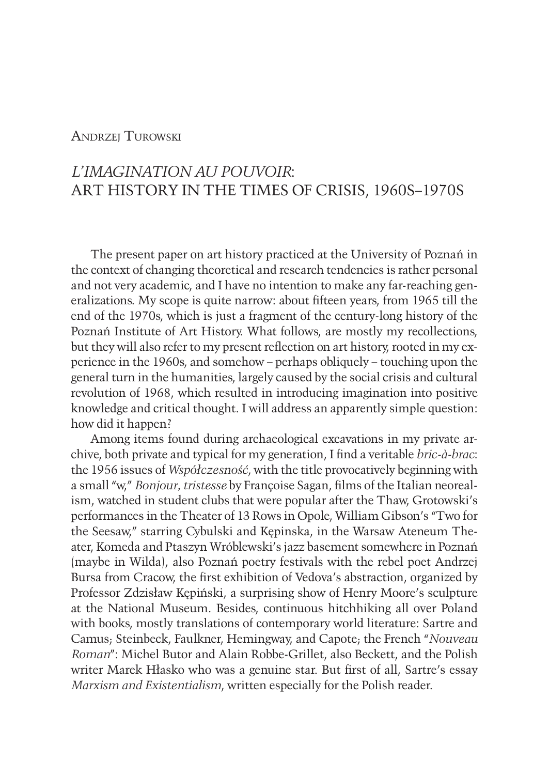## **ANDRZEI TUROWSKI**

# *L'IMAGINATION AU POUVOIR*: ART HISTORY IN THE TIMES OF CRISIS, 1960S–1970S

The present paper on art history practiced at the University of Poznań in the context of changing theoretical and research tendencies is rather personal and not very academic, and I have no intention to make any far-reaching generalizations. My scope is quite narrow: about fifteen years, from 1965 till the end of the 1970s, which is just a fragment of the century-long history of the Poznań Institute of Art History. What follows, are mostly my recollections, but they will also refer to my present reflection on art history, rooted in my experience in the 1960s, and somehow – perhaps obliquely – touching upon the general turn in the humanities, largely caused by the social crisis and cultural revolution of 1968, which resulted in introducing imagination into positive knowledge and critical thought. I will address an apparently simple question: how did it happen?

Among items found during archaeological excavations in my private archive, both private and typical for my generation, I find a veritable *bric-à-brac*: the 1956 issues of *Współczesność*, with the title provocatively beginning with a small "w," *Bonjour, tristesse* by Françoise Sagan, films of the Italian neorealism, watched in student clubs that were popular after the Thaw, Grotowski's performances in the Theater of 13 Rows in Opole, William Gibson's "Two for the Seesaw," starring Cybulski and Kępinska, in the Warsaw Ateneum Theater, Komeda and Ptaszyn Wróblewski's jazz basement somewhere in Poznań (maybe in Wilda), also Poznań poetry festivals with the rebel poet Andrzej Bursa from Cracow, the first exhibition of Vedova's abstraction, organized by Professor Zdzisław Kępiński, a surprising show of Henry Moore's sculpture at the National Museum. Besides, continuous hitchhiking all over Poland with books, mostly translations of contemporary world literature: Sartre and Camus; Steinbeck, Faulkner, Hemingway, and Capote; the French "*Nouveau Roman*": Michel Butor and Alain Robbe-Grillet, also Beckett, and the Polish writer Marek Hłasko who was a genuine star. But first of all, Sartre's essay *Marxism and Existentialism*, written especially for the Polish reader.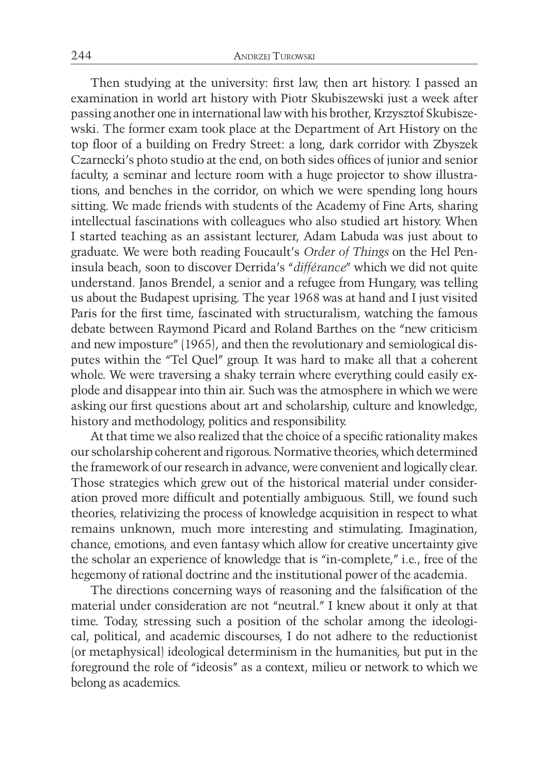Then studying at the university: first law, then art history. I passed an examination in world art history with Piotr Skubiszewski just a week after passing another one in international law with his brother, Krzysztof Skubiszewski. The former exam took place at the Department of Art History on the top floor of a building on Fredry Street: a long, dark corridor with Zbyszek Czarnecki's photo studio at the end, on both sides offices of junior and senior faculty, a seminar and lecture room with a huge projector to show illustrations, and benches in the corridor, on which we were spending long hours sitting. We made friends with students of the Academy of Fine Arts, sharing intellectual fascinations with colleagues who also studied art history. When I started teaching as an assistant lecturer, Adam Labuda was just about to graduate. We were both reading Foucault's *Order of Things* on the Hel Peninsula beach, soon to discover Derrida's "*différance*" which we did not quite understand. Janos Brendel, a senior and a refugee from Hungary, was telling us about the Budapest uprising. The year 1968 was at hand and I just visited Paris for the first time, fascinated with structuralism, watching the famous debate between Raymond Picard and Roland Barthes on the "new criticism and new imposture" (1965), and then the revolutionary and semiological disputes within the "Tel Quel" group. It was hard to make all that a coherent whole. We were traversing a shaky terrain where everything could easily explode and disappear into thin air. Such was the atmosphere in which we were asking our first questions about art and scholarship, culture and knowledge, history and methodology, politics and responsibility.

At that time we also realized that the choice of a specific rationality makes our scholarship coherent and rigorous. Normative theories, which determined the framework of our research in advance, were convenient and logically clear. Those strategies which grew out of the historical material under consideration proved more difficult and potentially ambiguous. Still, we found such theories, relativizing the process of knowledge acquisition in respect to what remains unknown, much more interesting and stimulating. Imagination, chance, emotions, and even fantasy which allow for creative uncertainty give the scholar an experience of knowledge that is "in-complete," i.e., free of the hegemony of rational doctrine and the institutional power of the academia.

The directions concerning ways of reasoning and the falsification of the material under consideration are not "neutral." I knew about it only at that time. Today, stressing such a position of the scholar among the ideological, political, and academic discourses, I do not adhere to the reductionist (or metaphysical) ideological determinism in the humanities, but put in the foreground the role of "ideosis" as a context, milieu or network to which we belong as academics.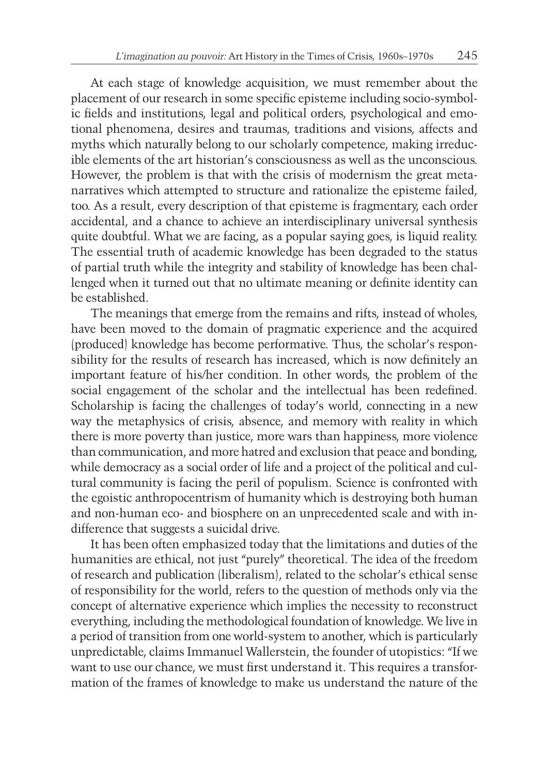At each stage of knowledge acquisition, we must remember about the placement of our research in some specific episteme including socio-symbolic fields and institutions, legal and political orders, psychological and emotional phenomena, desires and traumas, traditions and visions, affects and myths which naturally belong to our scholarly competence, making irreducible elements of the art historian's consciousness as well as the unconscious. However, the problem is that with the crisis of modernism the great metanarratives which attempted to structure and rationalize the episteme failed, too. As a result, every description of that episteme is fragmentary, each order accidental, and a chance to achieve an interdisciplinary universal synthesis quite doubtful. What we are facing, as a popular saying goes, is liquid reality. The essential truth of academic knowledge has been degraded to the status of partial truth while the integrity and stability of knowledge has been challenged when it turned out that no ultimate meaning or definite identity can be established.

The meanings that emerge from the remains and rifts, instead of wholes, have been moved to the domain of pragmatic experience and the acquired (produced) knowledge has become performative. Thus, the scholar's responsibility for the results of research has increased, which is now definitely an important feature of his/her condition. In other words, the problem of the social engagement of the scholar and the intellectual has been redefined. Scholarship is facing the challenges of today's world, connecting in a new way the metaphysics of crisis, absence, and memory with reality in which there is more poverty than justice, more wars than happiness, more violence than communication, and more hatred and exclusion that peace and bonding, while democracy as a social order of life and a project of the political and cultural community is facing the peril of populism. Science is confronted with the egoistic anthropocentrism of humanity which is destroying both human and non-human eco- and biosphere on an unprecedented scale and with indifference that suggests a suicidal drive.

It has been often emphasized today that the limitations and duties of the humanities are ethical, not just "purely" theoretical. The idea of the freedom of research and publication (liberalism), related to the scholar's ethical sense of responsibility for the world, refers to the question of methods only via the concept of alternative experience which implies the necessity to reconstruct everything, including the methodological foundation of knowledge. We live in a period of transition from one world-system to another, which is particularly unpredictable, claims Immanuel Wallerstein, the founder of utopistics: "If we want to use our chance, we must first understand it. This requires a transformation of the frames of knowledge to make us understand the nature of the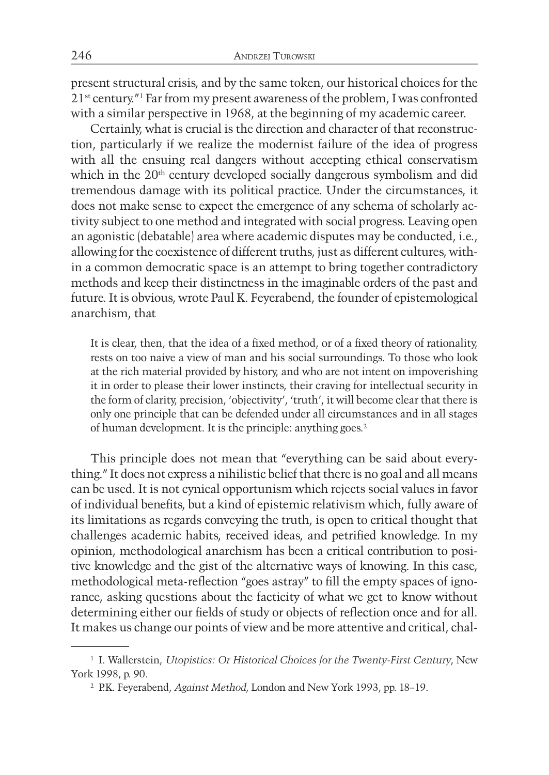present structural crisis, and by the same token, our historical choices for the 21st century."1 Far from my present awareness of the problem, I was confronted with a similar perspective in 1968, at the beginning of my academic career.

Certainly, what is crucial is the direction and character of that reconstruction, particularly if we realize the modernist failure of the idea of progress with all the ensuing real dangers without accepting ethical conservatism which in the 20<sup>th</sup> century developed socially dangerous symbolism and did tremendous damage with its political practice. Under the circumstances, it does not make sense to expect the emergence of any schema of scholarly activity subject to one method and integrated with social progress. Leaving open an agonistic (debatable) area where academic disputes may be conducted, i.e., allowing for the coexistence of different truths, just as different cultures, within a common democratic space is an attempt to bring together contradictory methods and keep their distinctness in the imaginable orders of the past and future. It is obvious, wrote Paul K. Feyerabend, the founder of epistemological anarchism, that

It is clear, then, that the idea of a fixed method, or of a fixed theory of rationality, rests on too naive a view of man and his social surroundings. To those who look at the rich material provided by history, and who are not intent on impoverishing it in order to please their lower instincts, their craving for intellectual security in the form of clarity, precision, 'objectivity', 'truth', it will become clear that there is only one principle that can be defended under all circumstances and in all stages of human development. It is the principle: anything goes.<sup>2</sup>

This principle does not mean that "everything can be said about everything." It does not express a nihilistic belief that there is no goal and all means can be used. It is not cynical opportunism which rejects social values in favor of individual benefits, but a kind of epistemic relativism which, fully aware of its limitations as regards conveying the truth, is open to critical thought that challenges academic habits, received ideas, and petrified knowledge. In my opinion, methodological anarchism has been a critical contribution to positive knowledge and the gist of the alternative ways of knowing. In this case, methodological meta-reflection "goes astray" to fill the empty spaces of ignorance, asking questions about the facticity of what we get to know without determining either our fields of study or objects of reflection once and for all. It makes us change our points of view and be more attentive and critical, chal-

<sup>1</sup> I. Wallerstein, *Utopistics: Or Historical Choices for the Twenty-First Century*, New York 1998, p. 90.

<sup>2</sup> P.K. Feyerabend, *Against Method*, London and New York 1993, pp. 18–19.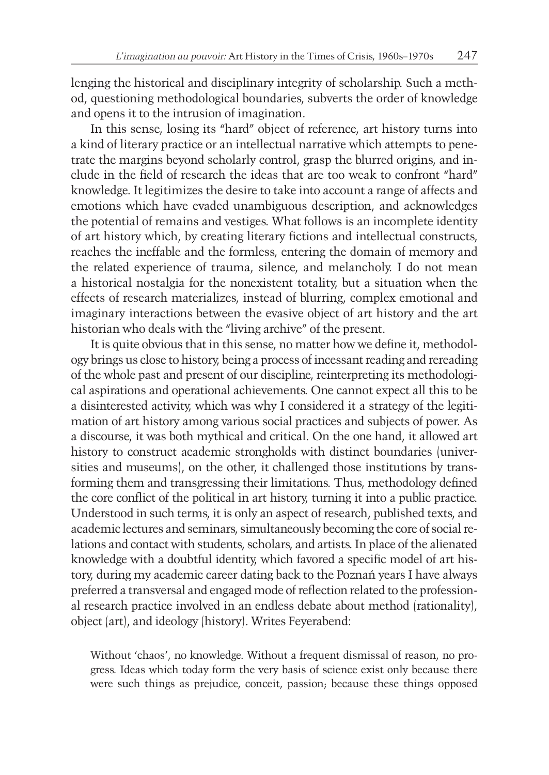lenging the historical and disciplinary integrity of scholarship. Such a method, questioning methodological boundaries, subverts the order of knowledge and opens it to the intrusion of imagination.

In this sense, losing its "hard" object of reference, art history turns into a kind of literary practice or an intellectual narrative which attempts to penetrate the margins beyond scholarly control, grasp the blurred origins, and include in the field of research the ideas that are too weak to confront "hard" knowledge. It legitimizes the desire to take into account a range of affects and emotions which have evaded unambiguous description, and acknowledges the potential of remains and vestiges. What follows is an incomplete identity of art history which, by creating literary fictions and intellectual constructs, reaches the ineffable and the formless, entering the domain of memory and the related experience of trauma, silence, and melancholy. I do not mean a historical nostalgia for the nonexistent totality, but a situation when the effects of research materializes, instead of blurring, complex emotional and imaginary interactions between the evasive object of art history and the art historian who deals with the "living archive" of the present.

It is quite obvious that in this sense, no matter how we define it, methodology brings us close to history, being a process of incessant reading and rereading of the whole past and present of our discipline, reinterpreting its methodological aspirations and operational achievements. One cannot expect all this to be a disinterested activity, which was why I considered it a strategy of the legitimation of art history among various social practices and subjects of power. As a discourse, it was both mythical and critical. On the one hand, it allowed art history to construct academic strongholds with distinct boundaries (universities and museums), on the other, it challenged those institutions by transforming them and transgressing their limitations. Thus, methodology defined the core conflict of the political in art history, turning it into a public practice. Understood in such terms, it is only an aspect of research, published texts, and academic lectures and seminars, simultaneously becoming the core of social relations and contact with students, scholars, and artists. In place of the alienated knowledge with a doubtful identity, which favored a specific model of art history, during my academic career dating back to the Poznań years I have always preferred a transversal and engaged mode of reflection related to the professional research practice involved in an endless debate about method (rationality), object (art), and ideology (history). Writes Feyerabend:

Without 'chaos', no knowledge. Without a frequent dismissal of reason, no progress. Ideas which today form the very basis of science exist only because there were such things as prejudice, conceit, passion; because these things opposed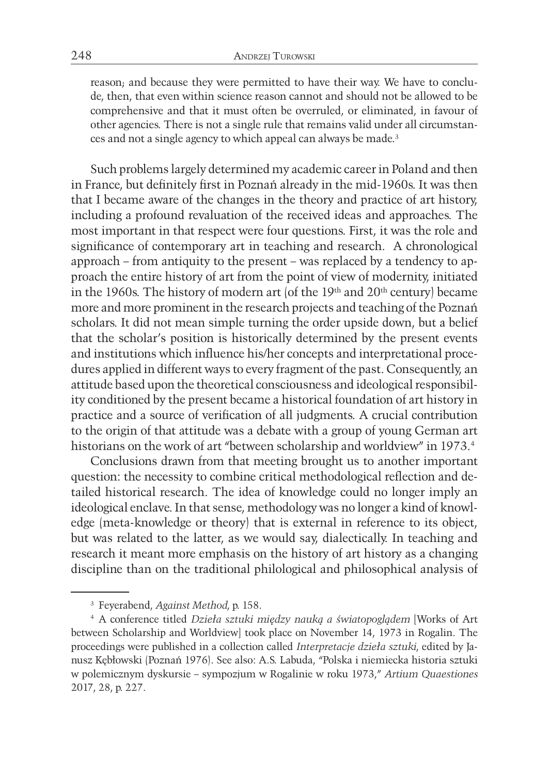reason; and because they were permitted to have their way. We have to conclude, then, that even within science reason cannot and should not be allowed to be comprehensive and that it must often be overruled, or eliminated, in favour of other agencies. There is not a single rule that remains valid under all circumstances and not a single agency to which appeal can always be made.3

Such problems largely determined my academic career in Poland and then in France, but definitely first in Poznań already in the mid-1960s. It was then that I became aware of the changes in the theory and practice of art history, including a profound revaluation of the received ideas and approaches. The most important in that respect were four questions. First, it was the role and significance of contemporary art in teaching and research. A chronological approach – from antiquity to the present – was replaced by a tendency to approach the entire history of art from the point of view of modernity, initiated in the 1960s. The history of modern art (of the  $19<sup>th</sup>$  and  $20<sup>th</sup>$  century) became more and more prominent in the research projects and teaching of the Poznań scholars. It did not mean simple turning the order upside down, but a belief that the scholar's position is historically determined by the present events and institutions which influence his/her concepts and interpretational procedures applied in different ways to every fragment of the past. Consequently, an attitude based upon the theoretical consciousness and ideological responsibility conditioned by the present became a historical foundation of art history in practice and a source of verification of all judgments. A crucial contribution to the origin of that attitude was a debate with a group of young German art historians on the work of art "between scholarship and worldview" in 1973.4

Conclusions drawn from that meeting brought us to another important question: the necessity to combine critical methodological reflection and detailed historical research. The idea of knowledge could no longer imply an ideological enclave. In that sense, methodology was no longer a kind of knowledge (meta-knowledge or theory) that is external in reference to its object, but was related to the latter, as we would say, dialectically. In teaching and research it meant more emphasis on the history of art history as a changing discipline than on the traditional philological and philosophical analysis of

<sup>3</sup> Feyerabend, *Against Method*, p. 158.

<sup>4</sup> A conference titled *Dzieła sztuki między nauką a światopoglądem* [Works of Art between Scholarship and Worldview] took place on November 14, 1973 in Rogalin. The proceedings were published in a collection called *Interpretacje dzieła sztuki*, edited by Janusz Kębłowski (Poznań 1976). See also: A.S. Labuda, "Polska i niemiecka historia sztuki w polemicznym dyskursie – sympozjum w Rogalinie w roku 1973," *Artium Quaestiones* 2017, 28, p. 227.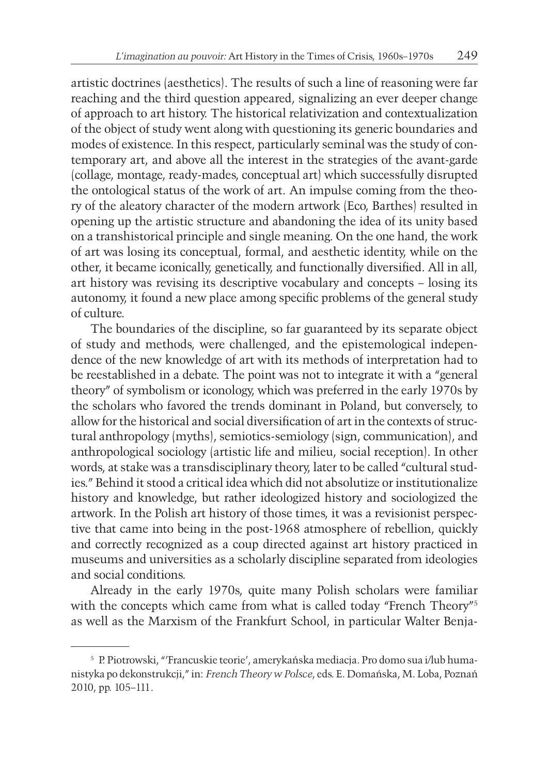artistic doctrines (aesthetics). The results of such a line of reasoning were far reaching and the third question appeared, signalizing an ever deeper change of approach to art history. The historical relativization and contextualization of the object of study went along with questioning its generic boundaries and modes of existence. In this respect, particularly seminal was the study of contemporary art, and above all the interest in the strategies of the avant-garde (collage, montage, ready-mades, conceptual art) which successfully disrupted the ontological status of the work of art. An impulse coming from the theory of the aleatory character of the modern artwork (Eco, Barthes) resulted in opening up the artistic structure and abandoning the idea of its unity based on a transhistorical principle and single meaning. On the one hand, the work of art was losing its conceptual, formal, and aesthetic identity, while on the other, it became iconically, genetically, and functionally diversified. All in all, art history was revising its descriptive vocabulary and concepts – losing its autonomy, it found a new place among specific problems of the general study of culture.

The boundaries of the discipline, so far guaranteed by its separate object of study and methods, were challenged, and the epistemological independence of the new knowledge of art with its methods of interpretation had to be reestablished in a debate. The point was not to integrate it with a "general theory" of symbolism or iconology, which was preferred in the early 1970s by the scholars who favored the trends dominant in Poland, but conversely, to allow for the historical and social diversification of art in the contexts of structural anthropology (myths), semiotics-semiology (sign, communication), and anthropological sociology (artistic life and milieu, social reception). In other words, at stake was a transdisciplinary theory, later to be called "cultural studies." Behind it stood a critical idea which did not absolutize or institutionalize history and knowledge, but rather ideologized history and sociologized the artwork. In the Polish art history of those times, it was a revisionist perspective that came into being in the post-1968 atmosphere of rebellion, quickly and correctly recognized as a coup directed against art history practiced in museums and universities as a scholarly discipline separated from ideologies and social conditions.

Already in the early 1970s, quite many Polish scholars were familiar with the concepts which came from what is called today "French Theory"<sup>5</sup> as well as the Marxism of the Frankfurt School, in particular Walter Benja-

<sup>5</sup> P. Piotrowski, "'Francuskie teorie', amerykańska mediacja. Pro domo sua i/lub humanistyka po dekonstrukcji," in: *French Theory w Polsce*, eds. E. Domańska, M. Loba, Poznań 2010, pp. 105–111.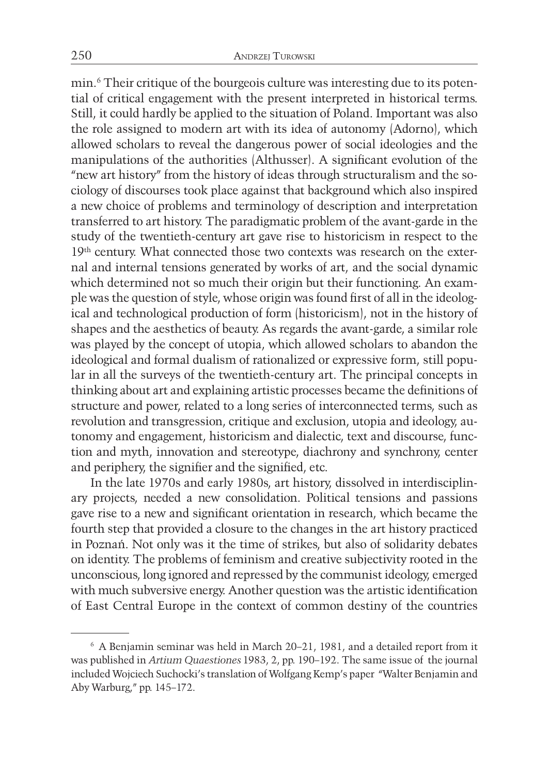min.6 Their critique of the bourgeois culture was interesting due to its potential of critical engagement with the present interpreted in historical terms. Still, it could hardly be applied to the situation of Poland. Important was also the role assigned to modern art with its idea of autonomy (Adorno), which allowed scholars to reveal the dangerous power of social ideologies and the manipulations of the authorities (Althusser). A significant evolution of the "new art history" from the history of ideas through structuralism and the sociology of discourses took place against that background which also inspired a new choice of problems and terminology of description and interpretation transferred to art history. The paradigmatic problem of the avant-garde in the study of the twentieth-century art gave rise to historicism in respect to the 19<sup>th</sup> century. What connected those two contexts was research on the external and internal tensions generated by works of art, and the social dynamic which determined not so much their origin but their functioning. An example was the question of style, whose origin was found first of all in the ideological and technological production of form (historicism), not in the history of shapes and the aesthetics of beauty. As regards the avant-garde, a similar role was played by the concept of utopia, which allowed scholars to abandon the ideological and formal dualism of rationalized or expressive form, still popular in all the surveys of the twentieth-century art. The principal concepts in thinking about art and explaining artistic processes became the definitions of structure and power, related to a long series of interconnected terms, such as revolution and transgression, critique and exclusion, utopia and ideology, autonomy and engagement, historicism and dialectic, text and discourse, function and myth, innovation and stereotype, diachrony and synchrony, center and periphery, the signifier and the signified, etc.

In the late 1970s and early 1980s, art history, dissolved in interdisciplinary projects, needed a new consolidation. Political tensions and passions gave rise to a new and significant orientation in research, which became the fourth step that provided a closure to the changes in the art history practiced in Poznań. Not only was it the time of strikes, but also of solidarity debates on identity. The problems of feminism and creative subjectivity rooted in the unconscious, long ignored and repressed by the communist ideology, emerged with much subversive energy. Another question was the artistic identification of East Central Europe in the context of common destiny of the countries

<sup>6</sup> A Benjamin seminar was held in March 20–21, 1981, and a detailed report from it was published in *Artium Quaestiones* 1983, 2, pp. 190–192. The same issue of the journal included Wojciech Suchocki's translation of Wolfgang Kemp's paper "Walter Benjamin and Aby Warburg," pp. 145–172.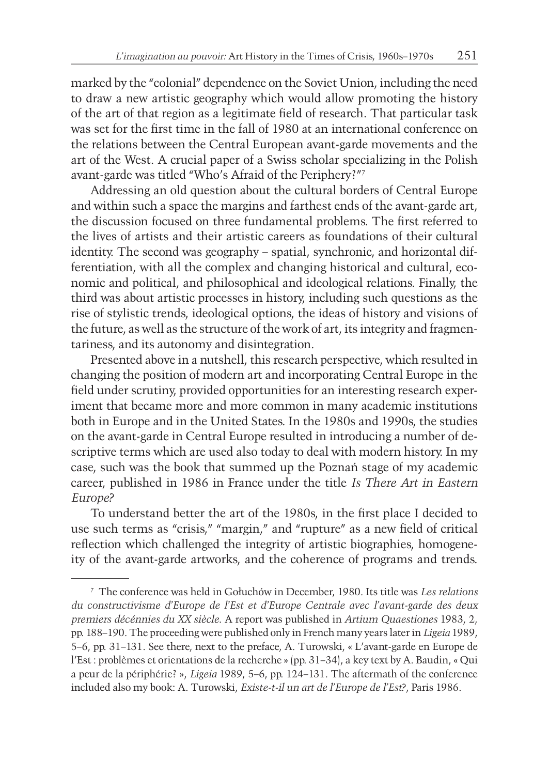marked by the "colonial" dependence on the Soviet Union, including the need to draw a new artistic geography which would allow promoting the history of the art of that region as a legitimate field of research. That particular task was set for the first time in the fall of 1980 at an international conference on the relations between the Central European avant-garde movements and the art of the West. A crucial paper of a Swiss scholar specializing in the Polish avant-garde was titled "Who's Afraid of the Periphery?"7

Addressing an old question about the cultural borders of Central Europe and within such a space the margins and farthest ends of the avant-garde art, the discussion focused on three fundamental problems. The first referred to the lives of artists and their artistic careers as foundations of their cultural identity. The second was geography – spatial, synchronic, and horizontal differentiation, with all the complex and changing historical and cultural, economic and political, and philosophical and ideological relations. Finally, the third was about artistic processes in history, including such questions as the rise of stylistic trends, ideological options, the ideas of history and visions of the future, as well as the structure of the work of art, its integrity and fragmentariness, and its autonomy and disintegration.

Presented above in a nutshell, this research perspective, which resulted in changing the position of modern art and incorporating Central Europe in the field under scrutiny, provided opportunities for an interesting research experiment that became more and more common in many academic institutions both in Europe and in the United States. In the 1980s and 1990s, the studies on the avant-garde in Central Europe resulted in introducing a number of descriptive terms which are used also today to deal with modern history. In my case, such was the book that summed up the Poznań stage of my academic career, published in 1986 in France under the title *Is There Art in Eastern Europe?*

To understand better the art of the 1980s, in the first place I decided to use such terms as "crisis," "margin," and "rupture" as a new field of critical reflection which challenged the integrity of artistic biographies, homogeneity of the avant-garde artworks, and the coherence of programs and trends.

<sup>7</sup> The conference was held in Gołuchów in December, 1980. Its title was *Les relations du constructivisme d'Europe de l'Est et d'Europe Centrale avec l'avant-garde des deux premiers décénnies du XX siècle*. A report was published in *Artium Quaestiones* 1983, 2, pp. 188–190. The proceeding were published only in French many years later in *Ligeia* 1989, 5–6, pp. 31–131. See there, next to the preface, A. Turowski, « L'avant-garde en Europe de l'Est : problèmes et orientations de la recherche » (pp. 31–34), a key text by A. Baudin, « Qui a peur de la périphérie? », *Ligeia* 1989, 5–6, pp. 124–131. The aftermath of the conference included also my book: A. Turowski, *Existe-t-il un art de l'Europe de l'Est?*, Paris 1986.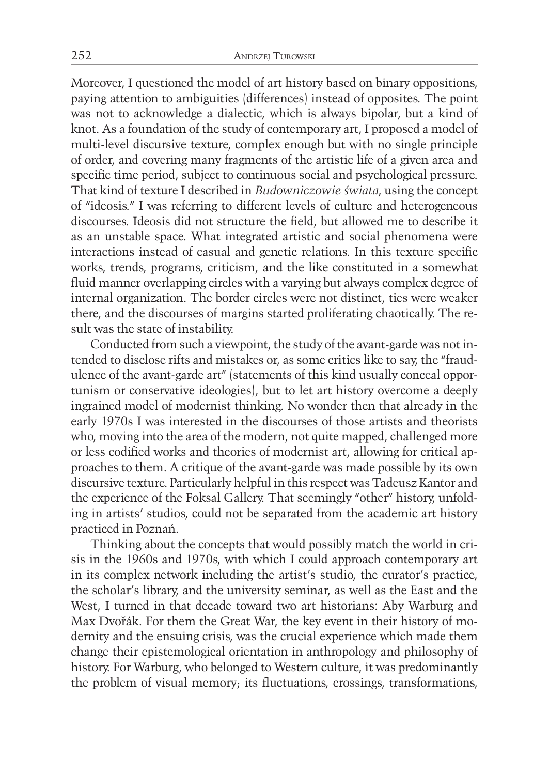Moreover, I questioned the model of art history based on binary oppositions, paying attention to ambiguities (differences) instead of opposites. The point was not to acknowledge a dialectic, which is always bipolar, but a kind of knot. As a foundation of the study of contemporary art, I proposed a model of multi-level discursive texture, complex enough but with no single principle of order, and covering many fragments of the artistic life of a given area and specific time period, subject to continuous social and psychological pressure. That kind of texture I described in *Budowniczowie świata*, using the concept of "ideosis." I was referring to different levels of culture and heterogeneous discourses. Ideosis did not structure the field, but allowed me to describe it as an unstable space. What integrated artistic and social phenomena were interactions instead of casual and genetic relations. In this texture specific works, trends, programs, criticism, and the like constituted in a somewhat fluid manner overlapping circles with a varying but always complex degree of internal organization. The border circles were not distinct, ties were weaker there, and the discourses of margins started proliferating chaotically. The result was the state of instability.

Conducted from such a viewpoint, the study of the avant-garde was not intended to disclose rifts and mistakes or, as some critics like to say, the "fraudulence of the avant-garde art" (statements of this kind usually conceal opportunism or conservative ideologies), but to let art history overcome a deeply ingrained model of modernist thinking. No wonder then that already in the early 1970s I was interested in the discourses of those artists and theorists who, moving into the area of the modern, not quite mapped, challenged more or less codified works and theories of modernist art, allowing for critical approaches to them. A critique of the avant-garde was made possible by its own discursive texture. Particularly helpful in this respect was Tadeusz Kantor and the experience of the Foksal Gallery. That seemingly "other" history, unfolding in artists' studios, could not be separated from the academic art history practiced in Poznań.

Thinking about the concepts that would possibly match the world in crisis in the 1960s and 1970s, with which I could approach contemporary art in its complex network including the artist's studio, the curator's practice, the scholar's library, and the university seminar, as well as the East and the West, I turned in that decade toward two art historians: Aby Warburg and Max Dvořák. For them the Great War, the key event in their history of modernity and the ensuing crisis, was the crucial experience which made them change their epistemological orientation in anthropology and philosophy of history. For Warburg, who belonged to Western culture, it was predominantly the problem of visual memory; its fluctuations, crossings, transformations,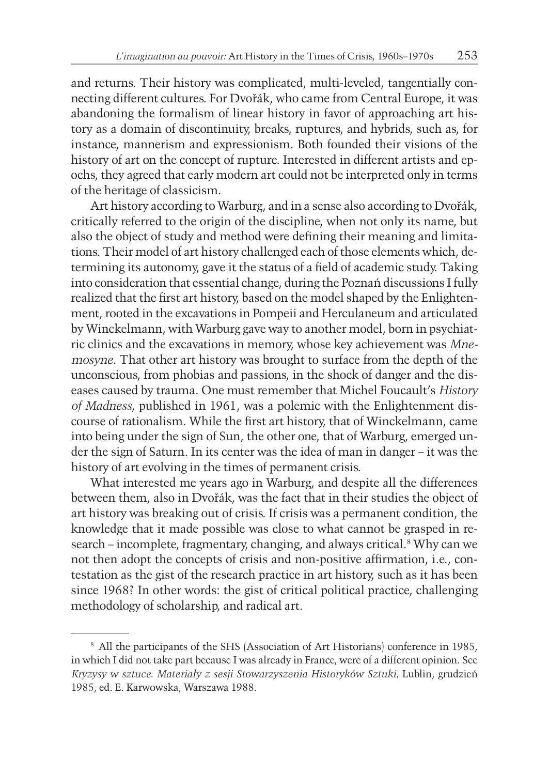and returns. Their history was complicated, multi-leveled, tangentially connecting different cultures. For Dvořák, who came from Central Europe, it was abandoning the formalism of linear history in favor of approaching art history as a domain of discontinuity, breaks, ruptures, and hybrids, such as, for instance, mannerism and expressionism. Both founded their visions of the history of art on the concept of rupture. Interested in different artists and epochs, they agreed that early modern art could not be interpreted only in terms of the heritage of classicism.

Art history according to Warburg, and in a sense also according to Dvořák, critically referred to the origin of the discipline, when not only its name, but also the object of study and method were defining their meaning and limitations. Their model of art history challenged each of those elements which, determining its autonomy, gave it the status of a field of academic study. Taking into consideration that essential change, during the Poznań discussions I fully realized that the first art history, based on the model shaped by the Enlightenment, rooted in the excavations in Pompeii and Herculaneum and articulated by Winckelmann, with Warburg gave way to another model, born in psychiatric clinics and the excavations in memory, whose key achievement was *Mnemosyne*. That other art history was brought to surface from the depth of the unconscious, from phobias and passions, in the shock of danger and the diseases caused by trauma. One must remember that Michel Foucault's *History of Madness*, published in 1961, was a polemic with the Enlightenment discourse of rationalism. While the first art history, that of Winckelmann, came into being under the sign of Sun, the other one, that of Warburg, emerged under the sign of Saturn. In its center was the idea of man in danger – it was the history of art evolving in the times of permanent crisis.

What interested me years ago in Warburg, and despite all the differences between them, also in Dvořák, was the fact that in their studies the object of art history was breaking out of crisis. If crisis was a permanent condition, the knowledge that it made possible was close to what cannot be grasped in research – incomplete, fragmentary, changing, and always critical.<sup>8</sup> Why can we not then adopt the concepts of crisis and non-positive affirmation, i.e., contestation as the gist of the research practice in art history, such as it has been since 1968? In other words: the gist of critical political practice, challenging methodology of scholarship, and radical art.

<sup>8</sup> All the participants of the SHS (Association of Art Historians) conference in 1985, in which I did not take part because I was already in France, were of a different opinion. See Kryzysy w sztuce. Materiały z sesji Stowarzyszenia Historyków Sztuki, Lublin, grudzień 1985, ed. E. Karwowska, Warszawa 1988.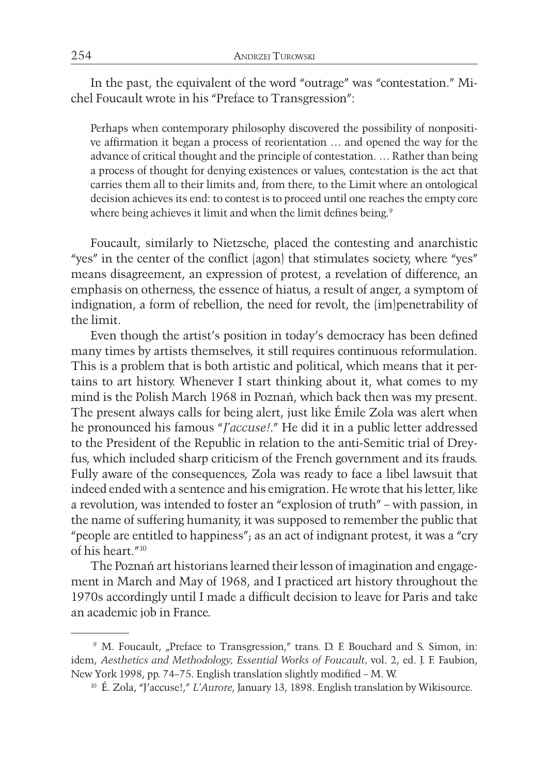In the past, the equivalent of the word "outrage" was "contestation." Michel Foucault wrote in his "Preface to Transgression":

Perhaps when contemporary philosophy discovered the possibility of nonpositive affirmation it began a process of reorientation … and opened the way for the advance of critical thought and the principle of contestation. … Rather than being a process of thought for denying existences or values, contestation is the act that carries them all to their limits and, from there, to the Limit where an ontological decision achieves its end: to contest is to proceed until one reaches the empty core where being achieves it limit and when the limit defines being.<sup>9</sup>

Foucault, similarly to Nietzsche, placed the contesting and anarchistic "yes" in the center of the conflict (agon) that stimulates society, where "yes" means disagreement, an expression of protest, a revelation of difference, an emphasis on otherness, the essence of hiatus, a result of anger, a symptom of indignation, a form of rebellion, the need for revolt, the (im)penetrability of the limit.

Even though the artist's position in today's democracy has been defined many times by artists themselves, it still requires continuous reformulation. This is a problem that is both artistic and political, which means that it pertains to art history. Whenever I start thinking about it, what comes to my mind is the Polish March 1968 in Poznań, which back then was my present. The present always calls for being alert, just like Émile Zola was alert when he pronounced his famous "*J'accuse!*." He did it in a public letter addressed to the President of the Republic in relation to the anti-Semitic trial of Dreyfus, which included sharp criticism of the French government and its frauds. Fully aware of the consequences, Zola was ready to face a libel lawsuit that indeed ended with a sentence and his emigration. He wrote that his letter, like a revolution, was intended to foster an "explosion of truth" – with passion, in the name of suffering humanity, it was supposed to remember the public that "people are entitled to happiness"; as an act of indignant protest, it was a "cry of his heart."<sup>10</sup>

The Poznań art historians learned their lesson of imagination and engagement in March and May of 1968, and I practiced art history throughout the 1970s accordingly until I made a difficult decision to leave for Paris and take an academic job in France.

<sup>&</sup>lt;sup>9</sup> M. Foucault, "Preface to Transgression," trans. D. F. Bouchard and S. Simon, in: idem, *Aesthetics and Methodology, Essential Works of Foucault,* vol. 2, ed. J. F. Faubion, New York 1998, pp. 74–75. English translation slightly modified – M. W.

<sup>10</sup> É. Zola, "J'accuse!," *L'Aurore*, January 13, 1898. English translation by Wikisource.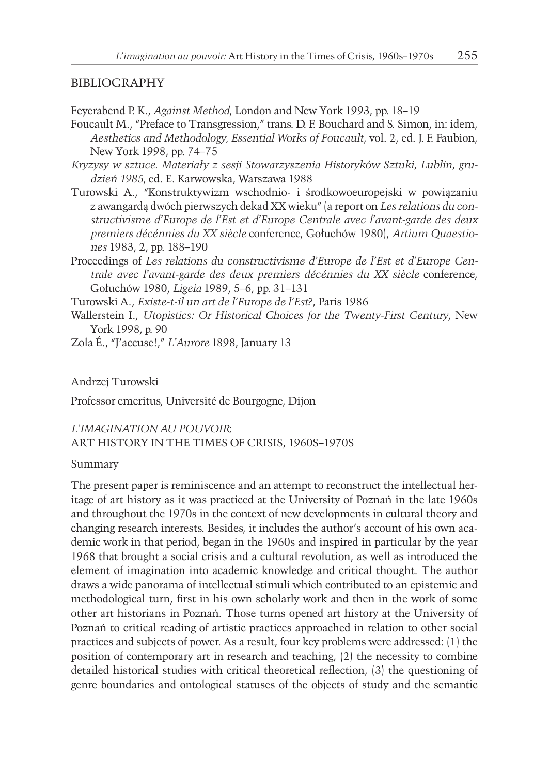#### BIBLIOGRAPHY

Feyerabend P. K., *Against Method*, London and New York 1993, pp. 18–19

- Foucault M., "Preface to Transgression," trans. D. F. Bouchard and S. Simon, in: idem, *Aesthetics and Methodology, Essential Works of Foucault*, vol. 2, ed. J. F. Faubion, New York 1998, pp. 74–75
- *Kryzysy w sztuce. Materiały z sesji Stowarzyszenia Historyków Sztuki, Lublin, grudzień 1985*, ed. E. Karwowska, Warszawa 1988
- Turowski A., "Konstruktywizm wschodnio- i środkowoeuropejski w powiązaniu z awangardą dwóch pierwszych dekad XX wieku" (a report on *Les relations du constructivisme d'Europe de l'Est et d'Europe Centrale avec l'avant-garde des deux premiers décénnies du XX siècle* conference, Gołuchów 1980), *Artium Quaestiones* 1983, 2, pp. 188–190
- Proceedings of *Les relations du constructivisme d'Europe de l'Est et d'Europe Centrale avec l'avant-garde des deux premiers décénnies du XX siècle* conference, Gołuchów 1980, *Ligeia* 1989, 5–6, pp. 31–131
- Turowski A., *Existe-t-il un art de l'Europe de l'Est?*, Paris 1986
- Wallerstein I., *Utopistics: Or Historical Choices for the Twenty-First Century*, New York 1998, p. 90
- Zola É., "J'accuse!," *L'Aurore* 1898, January 13

Andrzej Turowski

Professor emeritus, Université de Bourgogne, Dijon

### *L'IMAGINATION AU POUVOIR*: ART HISTORY IN THE TIMES OF CRISIS, 1960S–1970S

Summary

The present paper is reminiscence and an attempt to reconstruct the intellectual heritage of art history as it was practiced at the University of Poznań in the late 1960s and throughout the 1970s in the context of new developments in cultural theory and changing research interests. Besides, it includes the author's account of his own academic work in that period, began in the 1960s and inspired in particular by the year 1968 that brought a social crisis and a cultural revolution, as well as introduced the element of imagination into academic knowledge and critical thought. The author draws a wide panorama of intellectual stimuli which contributed to an epistemic and methodological turn, first in his own scholarly work and then in the work of some other art historians in Poznań. Those turns opened art history at the University of Poznań to critical reading of artistic practices approached in relation to other social practices and subjects of power. As a result, four key problems were addressed: (1) the position of contemporary art in research and teaching, (2) the necessity to combine detailed historical studies with critical theoretical reflection, (3) the questioning of genre boundaries and ontological statuses of the objects of study and the semantic